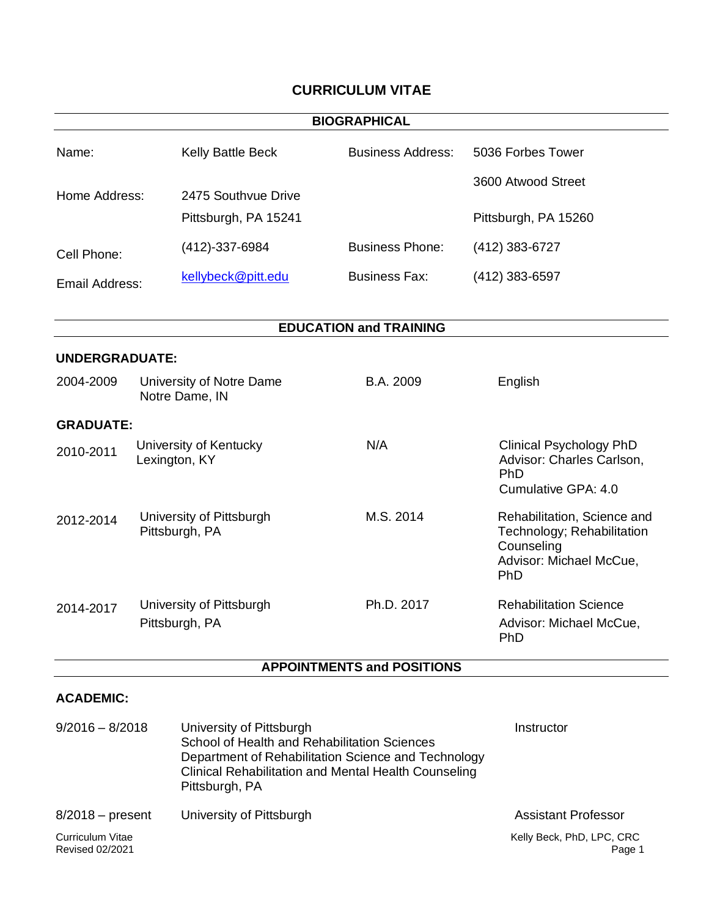# **CURRICULUM VITAE**

|                            |                                            |                                                                                                                                                                                                           | <b>BIOGRAPHICAL</b>               |                                                                                                           |
|----------------------------|--------------------------------------------|-----------------------------------------------------------------------------------------------------------------------------------------------------------------------------------------------------------|-----------------------------------|-----------------------------------------------------------------------------------------------------------|
| Name:                      |                                            | Kelly Battle Beck                                                                                                                                                                                         | <b>Business Address:</b>          | 5036 Forbes Tower                                                                                         |
|                            |                                            |                                                                                                                                                                                                           |                                   | 3600 Atwood Street                                                                                        |
| Home Address:              |                                            | 2475 Southvue Drive<br>Pittsburgh, PA 15241                                                                                                                                                               |                                   | Pittsburgh, PA 15260                                                                                      |
|                            |                                            |                                                                                                                                                                                                           |                                   |                                                                                                           |
| Cell Phone:                |                                            | (412)-337-6984                                                                                                                                                                                            | <b>Business Phone:</b>            | $(412)$ 383-6727                                                                                          |
| Email Address:             |                                            | kellybeck@pitt.edu                                                                                                                                                                                        | <b>Business Fax:</b>              | $(412)$ 383-6597                                                                                          |
|                            |                                            |                                                                                                                                                                                                           | <b>EDUCATION and TRAINING</b>     |                                                                                                           |
| <b>UNDERGRADUATE:</b>      |                                            |                                                                                                                                                                                                           |                                   |                                                                                                           |
| 2004-2009                  |                                            | University of Notre Dame<br>Notre Dame, IN                                                                                                                                                                | B.A. 2009                         | English                                                                                                   |
| <b>GRADUATE:</b>           |                                            |                                                                                                                                                                                                           |                                   |                                                                                                           |
| 2010-2011<br>Lexington, KY |                                            | University of Kentucky                                                                                                                                                                                    | N/A                               | <b>Clinical Psychology PhD</b><br>Advisor: Charles Carlson,<br>PhD<br>Cumulative GPA: 4.0                 |
| 2012-2014                  | University of Pittsburgh<br>Pittsburgh, PA |                                                                                                                                                                                                           | M.S. 2014                         | Rehabilitation, Science and<br>Technology; Rehabilitation<br>Counseling<br>Advisor: Michael McCue,<br>PhD |
| 2014-2017                  |                                            | University of Pittsburgh<br>Pittsburgh, PA                                                                                                                                                                | Ph.D. 2017                        | <b>Rehabilitation Science</b><br>Advisor: Michael McCue<br>PhD                                            |
|                            |                                            |                                                                                                                                                                                                           | <b>APPOINTMENTS and POSITIONS</b> |                                                                                                           |
| <b>ACADEMIC:</b>           |                                            |                                                                                                                                                                                                           |                                   |                                                                                                           |
| $9/2016 - 8/2018$          |                                            | University of Pittsburgh<br>School of Health and Rehabilitation Sciences<br>Department of Rehabilitation Science and Technology<br>Clinical Rehabilitation and Mental Health Counseling<br>Pittsburgh, PA |                                   | Instructor                                                                                                |
| $8/2018$ – present         |                                            | University of Pittsburgh                                                                                                                                                                                  | <b>Assistant Professor</b>        |                                                                                                           |
| Curriculum Vitae           |                                            |                                                                                                                                                                                                           | Kelly Beck, PhD, LPC, CRC         |                                                                                                           |

Page 1

Revised 02/2021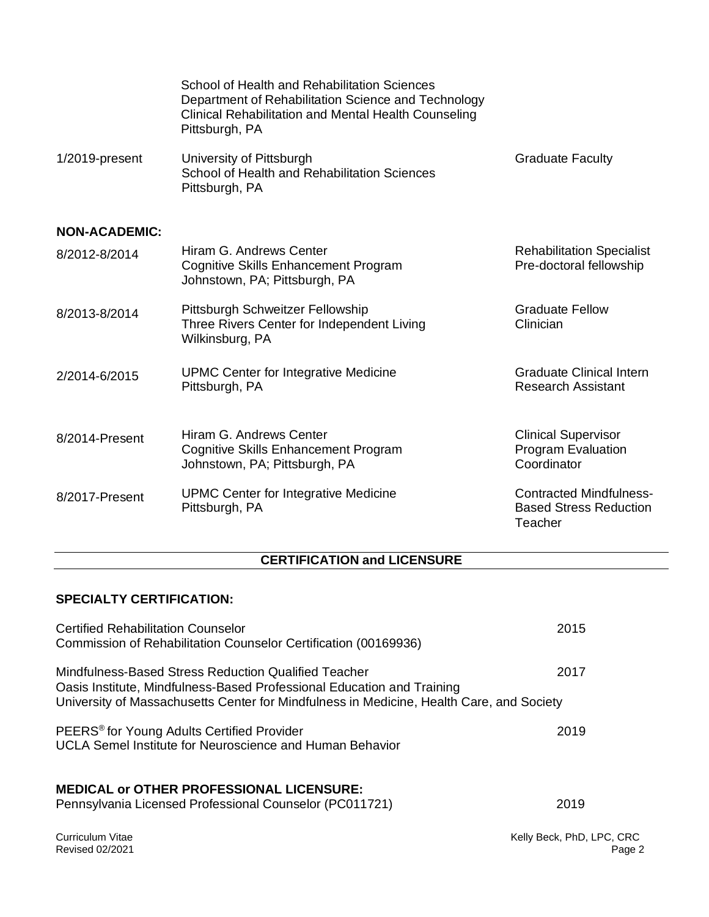|                      | School of Health and Rehabilitation Sciences<br>Department of Rehabilitation Science and Technology<br>Clinical Rehabilitation and Mental Health Counseling<br>Pittsburgh, PA |                                                                            |
|----------------------|-------------------------------------------------------------------------------------------------------------------------------------------------------------------------------|----------------------------------------------------------------------------|
| 1/2019-present       | University of Pittsburgh<br>School of Health and Rehabilitation Sciences<br>Pittsburgh, PA                                                                                    | <b>Graduate Faculty</b>                                                    |
| <b>NON-ACADEMIC:</b> |                                                                                                                                                                               |                                                                            |
| 8/2012-8/2014        | Hiram G. Andrews Center<br>Cognitive Skills Enhancement Program<br>Johnstown, PA; Pittsburgh, PA                                                                              | <b>Rehabilitation Specialist</b><br>Pre-doctoral fellowship                |
| 8/2013-8/2014        | Pittsburgh Schweitzer Fellowship<br>Three Rivers Center for Independent Living<br>Wilkinsburg, PA                                                                             | <b>Graduate Fellow</b><br>Clinician                                        |
| 2/2014-6/2015        | <b>UPMC Center for Integrative Medicine</b><br>Pittsburgh, PA                                                                                                                 | <b>Graduate Clinical Intern</b><br><b>Research Assistant</b>               |
| 8/2014-Present       | Hiram G. Andrews Center<br>Cognitive Skills Enhancement Program<br>Johnstown, PA; Pittsburgh, PA                                                                              | <b>Clinical Supervisor</b><br>Program Evaluation<br>Coordinator            |
| 8/2017-Present       | <b>UPMC Center for Integrative Medicine</b><br>Pittsburgh, PA                                                                                                                 | <b>Contracted Mindfulness-</b><br><b>Based Stress Reduction</b><br>Teacher |

# **CERTIFICATION and LICENSURE**

# **SPECIALTY CERTIFICATION:**

| <b>Certified Rehabilitation Counselor</b><br>Commission of Rehabilitation Counselor Certification (00169936)                                                                                                               | 2015                          |
|----------------------------------------------------------------------------------------------------------------------------------------------------------------------------------------------------------------------------|-------------------------------|
| Mindfulness-Based Stress Reduction Qualified Teacher<br>Oasis Institute, Mindfulness-Based Professional Education and Training<br>University of Massachusetts Center for Mindfulness in Medicine, Health Care, and Society | 2017                          |
| PEERS <sup>®</sup> for Young Adults Certified Provider<br>UCLA Semel Institute for Neuroscience and Human Behavior                                                                                                         | 2019                          |
| <b>MEDICAL or OTHER PROFESSIONAL LICENSURE:</b><br>Pennsylvania Licensed Professional Counselor (PC011721)                                                                                                                 | 2019                          |
| Curriculum Vitae<br><b>Revised 02/2021</b>                                                                                                                                                                                 | Kelly Beck, PhD, LPC, C<br>Pa |

 $RC$ Page 2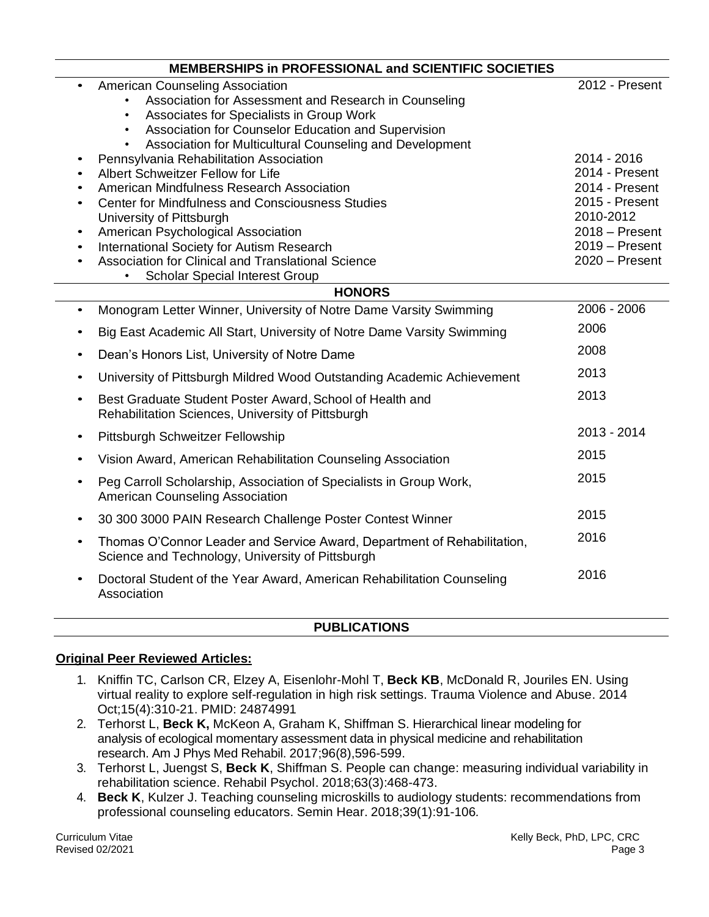|                                                                                         | <b>MEMBERSHIPS in PROFESSIONAL and SCIENTIFIC SOCIETIES</b>                                                                                                                                                                                                                                                                                                                                                                                                                                                                                                                                                                                                                                                 |                                                                                                                                                              |
|-----------------------------------------------------------------------------------------|-------------------------------------------------------------------------------------------------------------------------------------------------------------------------------------------------------------------------------------------------------------------------------------------------------------------------------------------------------------------------------------------------------------------------------------------------------------------------------------------------------------------------------------------------------------------------------------------------------------------------------------------------------------------------------------------------------------|--------------------------------------------------------------------------------------------------------------------------------------------------------------|
| $\bullet$<br>$\bullet$<br>$\bullet$<br>$\bullet$<br>$\bullet$<br>$\bullet$<br>$\bullet$ | <b>American Counseling Association</b><br>Association for Assessment and Research in Counseling<br>$\bullet$<br>Associates for Specialists in Group Work<br>Association for Counselor Education and Supervision<br>$\bullet$<br>Association for Multicultural Counseling and Development<br>$\bullet$<br>Pennsylvania Rehabilitation Association<br>Albert Schweitzer Fellow for Life<br>American Mindfulness Research Association<br><b>Center for Mindfulness and Consciousness Studies</b><br>University of Pittsburgh<br>American Psychological Association<br>International Society for Autism Research<br>Association for Clinical and Translational Science<br><b>Scholar Special Interest Group</b> | 2012 - Present<br>2014 - 2016<br>2014 - Present<br>2014 - Present<br>2015 - Present<br>2010-2012<br>$2018 -$ Present<br>$2019 -$ Present<br>$2020 -$ Present |
|                                                                                         | <b>HONORS</b>                                                                                                                                                                                                                                                                                                                                                                                                                                                                                                                                                                                                                                                                                               |                                                                                                                                                              |
| $\bullet$                                                                               | Monogram Letter Winner, University of Notre Dame Varsity Swimming                                                                                                                                                                                                                                                                                                                                                                                                                                                                                                                                                                                                                                           | 2006 - 2006                                                                                                                                                  |
| $\bullet$                                                                               | Big East Academic All Start, University of Notre Dame Varsity Swimming                                                                                                                                                                                                                                                                                                                                                                                                                                                                                                                                                                                                                                      | 2006                                                                                                                                                         |
| $\bullet$                                                                               | Dean's Honors List, University of Notre Dame                                                                                                                                                                                                                                                                                                                                                                                                                                                                                                                                                                                                                                                                | 2008                                                                                                                                                         |
| $\bullet$                                                                               | University of Pittsburgh Mildred Wood Outstanding Academic Achievement                                                                                                                                                                                                                                                                                                                                                                                                                                                                                                                                                                                                                                      | 2013                                                                                                                                                         |
| $\bullet$                                                                               | Best Graduate Student Poster Award, School of Health and<br>Rehabilitation Sciences, University of Pittsburgh                                                                                                                                                                                                                                                                                                                                                                                                                                                                                                                                                                                               | 2013                                                                                                                                                         |
| $\bullet$                                                                               | Pittsburgh Schweitzer Fellowship                                                                                                                                                                                                                                                                                                                                                                                                                                                                                                                                                                                                                                                                            | 2013 - 2014                                                                                                                                                  |
| $\bullet$                                                                               | Vision Award, American Rehabilitation Counseling Association                                                                                                                                                                                                                                                                                                                                                                                                                                                                                                                                                                                                                                                | 2015                                                                                                                                                         |
| $\bullet$                                                                               | Peg Carroll Scholarship, Association of Specialists in Group Work,<br>American Counseling Association                                                                                                                                                                                                                                                                                                                                                                                                                                                                                                                                                                                                       | 2015                                                                                                                                                         |
| $\bullet$                                                                               | 30 300 3000 PAIN Research Challenge Poster Contest Winner                                                                                                                                                                                                                                                                                                                                                                                                                                                                                                                                                                                                                                                   | 2015                                                                                                                                                         |
| $\bullet$                                                                               | Thomas O'Connor Leader and Service Award, Department of Rehabilitation,<br>Science and Technology, University of Pittsburgh                                                                                                                                                                                                                                                                                                                                                                                                                                                                                                                                                                                 | 2016                                                                                                                                                         |
| $\bullet$                                                                               | Doctoral Student of the Year Award, American Rehabilitation Counseling<br>Association                                                                                                                                                                                                                                                                                                                                                                                                                                                                                                                                                                                                                       | 2016                                                                                                                                                         |

## **PUBLICATIONS**

## **Original Peer Reviewed Articles:**

- 1. Kniffin TC, Carlson CR, Elzey A, Eisenlohr-Mohl T, **Beck KB**, McDonald R, Jouriles EN. Using virtual reality to explore self-regulation in high risk settings. Trauma Violence and Abuse. 2014 Oct;15(4):310-21. PMID: 24874991
- 2. Terhorst L, **Beck K,** McKeon A, Graham K, Shiffman S. Hierarchical linear modeling for analysis of ecological momentary assessment data in physical medicine and rehabilitation research. Am J Phys Med Rehabil. 2017;96(8),596-599.
- 3. Terhorst L, Juengst S, **Beck K**, Shiffman S. People can change: measuring individual variability in rehabilitation science. Rehabil Psychol. 2018;63(3):468-473.
- 4. **Beck K**, Kulzer J. Teaching counseling microskills to audiology students: recommendations from professional counseling educators. Semin Hear. 2018;39(1):91-106*.*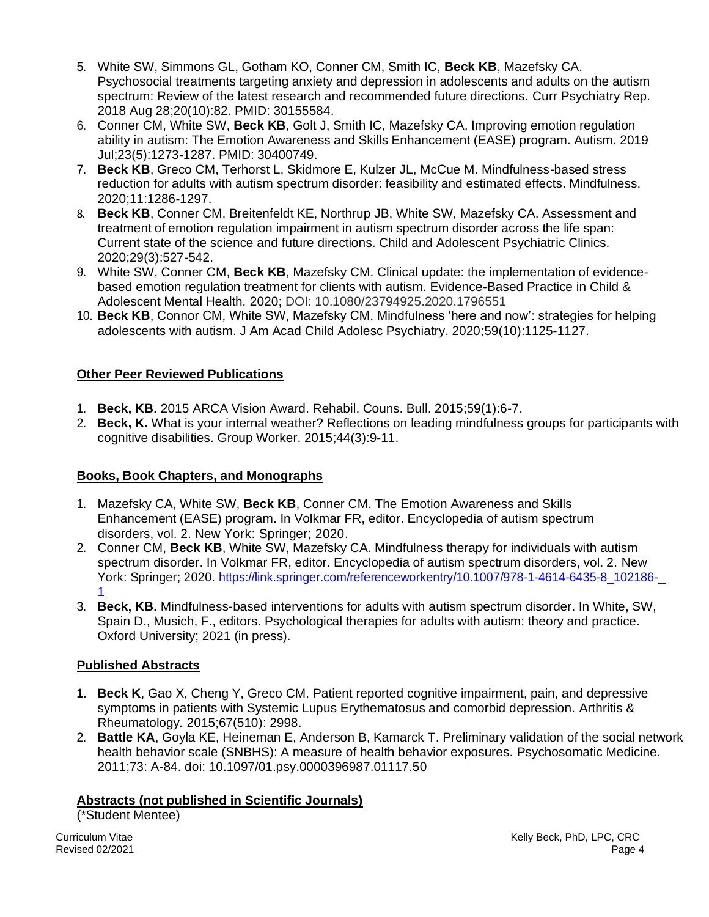- 5. White SW, Simmons GL, Gotham KO, Conner CM, Smith IC, **Beck KB**, Mazefsky CA. Psychosocial treatments targeting anxiety and depression in adolescents and adults on the autism spectrum: Review of the latest research and recommended future directions. Curr Psychiatry Rep. 2018 Aug 28;20(10):82. PMID: 30155584.
- 6. Conner CM, White SW, **Beck KB**, Golt J, Smith IC, Mazefsky CA. Improving emotion regulation ability in autism: The Emotion Awareness and Skills Enhancement (EASE) program. Autism. 2019 Jul;23(5):1273-1287. PMID: 30400749.
- 7. **Beck KB**, Greco CM, Terhorst L, Skidmore E, Kulzer JL, McCue M. Mindfulness-based stress reduction for adults with autism spectrum disorder: feasibility and estimated effects. Mindfulness. 2020;11:1286-1297.
- 8. **Beck KB**, Conner CM, Breitenfeldt KE, Northrup JB, White SW, Mazefsky CA. Assessment and treatment of emotion regulation impairment in autism spectrum disorder across the life span: Current state of the science and future directions. Child and Adolescent Psychiatric Clinics. 2020;29(3):527-542.
- 9. White SW, Conner CM, **Beck KB**, Mazefsky CM. Clinical update: the implementation of evidencebased emotion regulation treatment for clients with autism. Evidence-Based Practice in Child & Adolescent Mental Health*.* 2020; DOI: [10.1080/23794925.2020.1796551](https://doi.org/10.1080/23794925.2020.1796551)
- 10. **Beck KB**, Connor CM, White SW, Mazefsky CM. Mindfulness 'here and now': strategies for helping adolescents with autism. J Am Acad Child Adolesc Psychiatry. 2020;59(10):1125-1127.

# **Other Peer Reviewed Publications**

- 1. **Beck, KB.** 2015 ARCA Vision Award. Rehabil. Couns. Bull. 2015;59(1):6-7.
- 2. **Beck, K.** What is your internal weather? Reflections on leading mindfulness groups for participants with cognitive disabilities. Group Worker. 2015;44(3):9-11.

# **Books, Book Chapters, and Monographs**

- 1. Mazefsky CA, White SW, **Beck KB**, Conner CM. The Emotion Awareness and Skills Enhancement (EASE) program. In Volkmar FR, editor. Encyclopedia of autism spectrum disorders, vol. 2. New York: Springer; 2020.
- 2. Conner CM, **Beck KB**, White SW, Mazefsky CA. Mindfulness therapy for individuals with autism spectrum disorder. In Volkmar FR, editor. Encyclopedia of autism spectrum disorders, vol. 2. New York: Springer; 2020. [https://link.springer.com/referenceworkentry/10.1007/978-1-4614-6435-8\\_102186-](https://link.springer.com/referenceworkentry/10.1007/978-1-4614-6435-8_102186-1) [1](https://link.springer.com/referenceworkentry/10.1007/978-1-4614-6435-8_102186-1)
- 3. **Beck, KB.** Mindfulness-based interventions for adults with autism spectrum disorder. In White, SW, Spain D., Musich, F., editors. Psychological therapies for adults with autism: theory and practice. Oxford University; 2021 (in press).

# **Published Abstracts**

- **1. Beck K**, Gao X, Cheng Y, Greco CM. Patient reported cognitive impairment, pain, and depressive symptoms in patients with Systemic Lupus Erythematosus and comorbid depression. Arthritis & Rheumatology*.* 2015;67(510): 2998.
- 2. **Battle KA**, Goyla KE, Heineman E, Anderson B, Kamarck T. Preliminary validation of the social network health behavior scale (SNBHS): A measure of health behavior exposures. Psychosomatic Medicine. 2011;73: A-84. doi: 10.1097/01.psy.0000396987.01117.50

# **Abstracts (not published in Scientific Journals)**

(\*Student Mentee)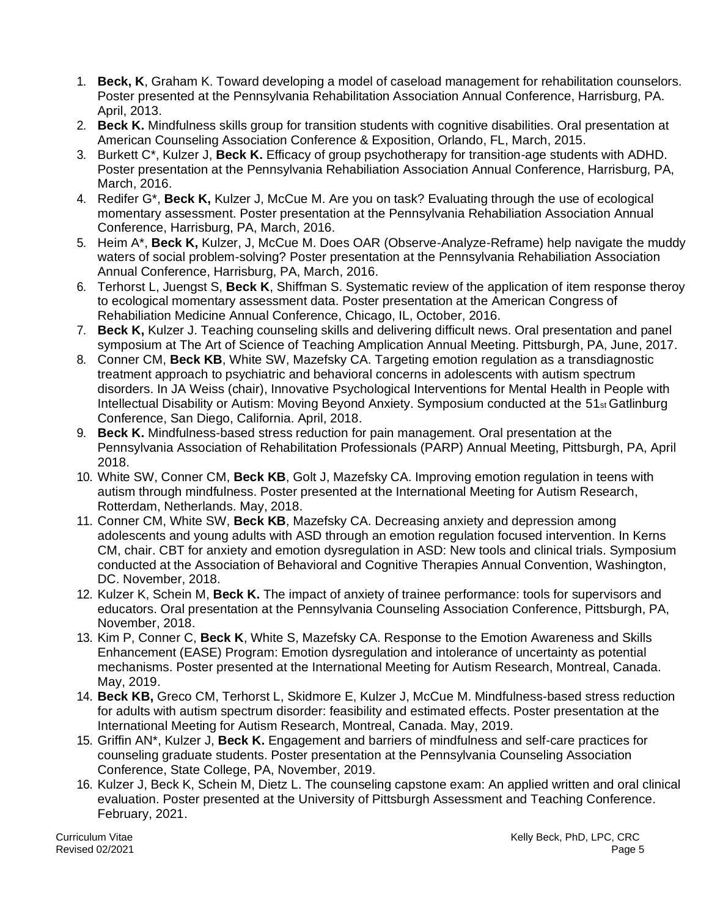- 1. **Beck, K**, Graham K. Toward developing a model of caseload management for rehabilitation counselors. Poster presented at the Pennsylvania Rehabilitation Association Annual Conference, Harrisburg, PA. April, 2013.
- 2. **Beck K.** Mindfulness skills group for transition students with cognitive disabilities. Oral presentation at American Counseling Association Conference & Exposition, Orlando, FL, March, 2015.
- 3. Burkett C\*, Kulzer J, **Beck K.** Efficacy of group psychotherapy for transition-age students with ADHD. Poster presentation at the Pennsylvania Rehabiliation Association Annual Conference, Harrisburg, PA, March, 2016.
- 4. Redifer G\*, **Beck K,** Kulzer J, McCue M. Are you on task? Evaluating through the use of ecological momentary assessment. Poster presentation at the Pennsylvania Rehabiliation Association Annual Conference, Harrisburg, PA, March, 2016.
- 5. Heim A\*, **Beck K,** Kulzer, J, McCue M. Does OAR (Observe-Analyze-Reframe) help navigate the muddy waters of social problem-solving? Poster presentation at the Pennsylvania Rehabiliation Association Annual Conference, Harrisburg, PA, March, 2016.
- 6. Terhorst L, Juengst S, **Beck K**, Shiffman S. Systematic review of the application of item response theroy to ecological momentary assessment data. Poster presentation at the American Congress of Rehabiliation Medicine Annual Conference, Chicago, IL, October, 2016.
- 7. **Beck K,** Kulzer J. Teaching counseling skills and delivering difficult news. Oral presentation and panel symposium at The Art of Science of Teaching Amplication Annual Meeting. Pittsburgh, PA, June, 2017.
- 8. Conner CM, **Beck KB**, White SW, Mazefsky CA. Targeting emotion regulation as a transdiagnostic treatment approach to psychiatric and behavioral concerns in adolescents with autism spectrum disorders. In JA Weiss (chair), Innovative Psychological Interventions for Mental Health in People with Intellectual Disability or Autism: Moving Beyond Anxiety. Symposium conducted at the 51st Gatlinburg Conference, San Diego, California. April, 2018.
- 9. **Beck K.** Mindfulness-based stress reduction for pain management. Oral presentation at the Pennsylvania Association of Rehabilitation Professionals (PARP) Annual Meeting, Pittsburgh, PA, April 2018.
- 10. White SW, Conner CM, **Beck KB**, Golt J, Mazefsky CA. Improving emotion regulation in teens with autism through mindfulness. Poster presented at the International Meeting for Autism Research, Rotterdam, Netherlands. May, 2018.
- 11. Conner CM, White SW, **Beck KB**, Mazefsky CA. Decreasing anxiety and depression among adolescents and young adults with ASD through an emotion regulation focused intervention. In Kerns CM, chair. CBT for anxiety and emotion dysregulation in ASD: New tools and clinical trials. Symposium conducted at the Association of Behavioral and Cognitive Therapies Annual Convention, Washington, DC. November, 2018.
- 12. Kulzer K, Schein M, **Beck K.** The impact of anxiety of trainee performance: tools for supervisors and educators. Oral presentation at the Pennsylvania Counseling Association Conference, Pittsburgh, PA, November, 2018.
- 13. Kim P, Conner C, **Beck K**, White S, Mazefsky CA. Response to the Emotion Awareness and Skills Enhancement (EASE) Program: Emotion dysregulation and intolerance of uncertainty as potential mechanisms. Poster presented at the International Meeting for Autism Research, Montreal, Canada. May, 2019.
- 14. **Beck KB,** Greco CM, Terhorst L, Skidmore E, Kulzer J, McCue M. Mindfulness-based stress reduction for adults with autism spectrum disorder: feasibility and estimated effects. Poster presentation at the International Meeting for Autism Research, Montreal, Canada. May, 2019.
- 15. Griffin AN\*, Kulzer J, **Beck K.** Engagement and barriers of mindfulness and self-care practices for counseling graduate students. Poster presentation at the Pennsylvania Counseling Association Conference, State College, PA, November, 2019.
- 16. Kulzer J, Beck K, Schein M, Dietz L. The counseling capstone exam: An applied written and oral clinical evaluation. Poster presented at the University of Pittsburgh Assessment and Teaching Conference. February, 2021.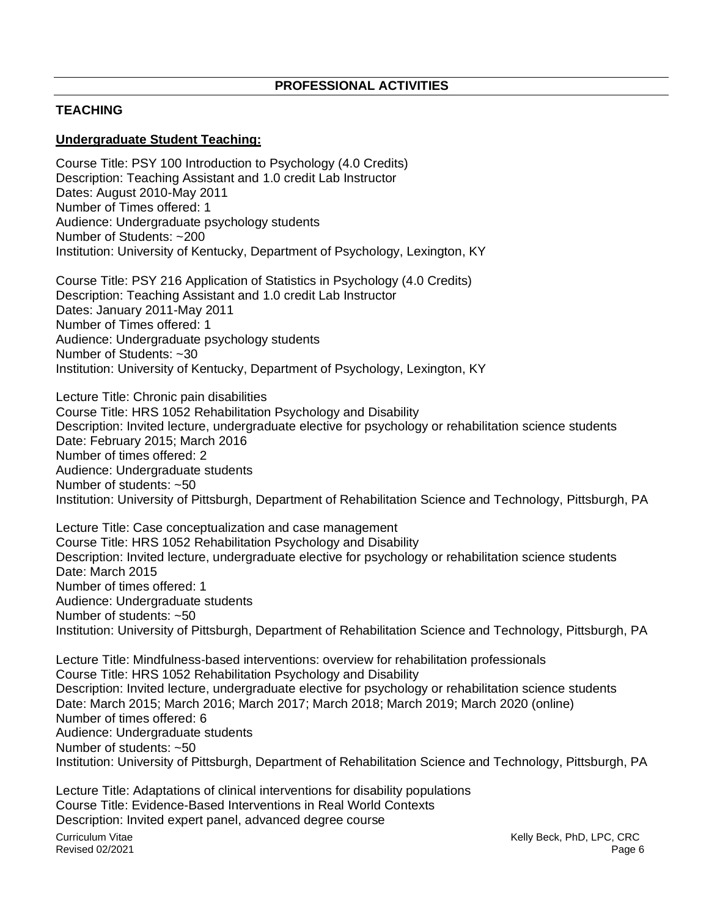## **PROFESSIONAL ACTIVITIES**

## **TEACHING**

## **Undergraduate Student Teaching:**

Course Title: PSY 100 Introduction to Psychology (4.0 Credits) Description: Teaching Assistant and 1.0 credit Lab Instructor Dates: August 2010-May 2011 Number of Times offered: 1 Audience: Undergraduate psychology students Number of Students: ~200 Institution: University of Kentucky, Department of Psychology, Lexington, KY

Course Title: PSY 216 Application of Statistics in Psychology (4.0 Credits) Description: Teaching Assistant and 1.0 credit Lab Instructor Dates: January 2011-May 2011 Number of Times offered: 1 Audience: Undergraduate psychology students Number of Students: ~30 Institution: University of Kentucky, Department of Psychology, Lexington, KY

Lecture Title: Chronic pain disabilities Course Title: HRS 1052 Rehabilitation Psychology and Disability Description: Invited lecture, undergraduate elective for psychology or rehabilitation science students Date: February 2015; March 2016 Number of times offered: 2 Audience: Undergraduate students Number of students: ~50 Institution: University of Pittsburgh, Department of Rehabilitation Science and Technology, Pittsburgh, PA

Lecture Title: Case conceptualization and case management Course Title: HRS 1052 Rehabilitation Psychology and Disability Description: Invited lecture, undergraduate elective for psychology or rehabilitation science students Date: March 2015 Number of times offered: 1 Audience: Undergraduate students Number of students: ~50 Institution: University of Pittsburgh, Department of Rehabilitation Science and Technology, Pittsburgh, PA

Lecture Title: Mindfulness-based interventions: overview for rehabilitation professionals Course Title: HRS 1052 Rehabilitation Psychology and Disability Description: Invited lecture, undergraduate elective for psychology or rehabilitation science students Date: March 2015; March 2016; March 2017; March 2018; March 2019; March 2020 (online) Number of times offered: 6 Audience: Undergraduate students Number of students: ~50 Institution: University of Pittsburgh, Department of Rehabilitation Science and Technology, Pittsburgh, PA

Curriculum Vitae Lecture Title: Adaptations of clinical interventions for disability populations Course Title: Evidence-Based Interventions in Real World Contexts Description: Invited expert panel, advanced degree course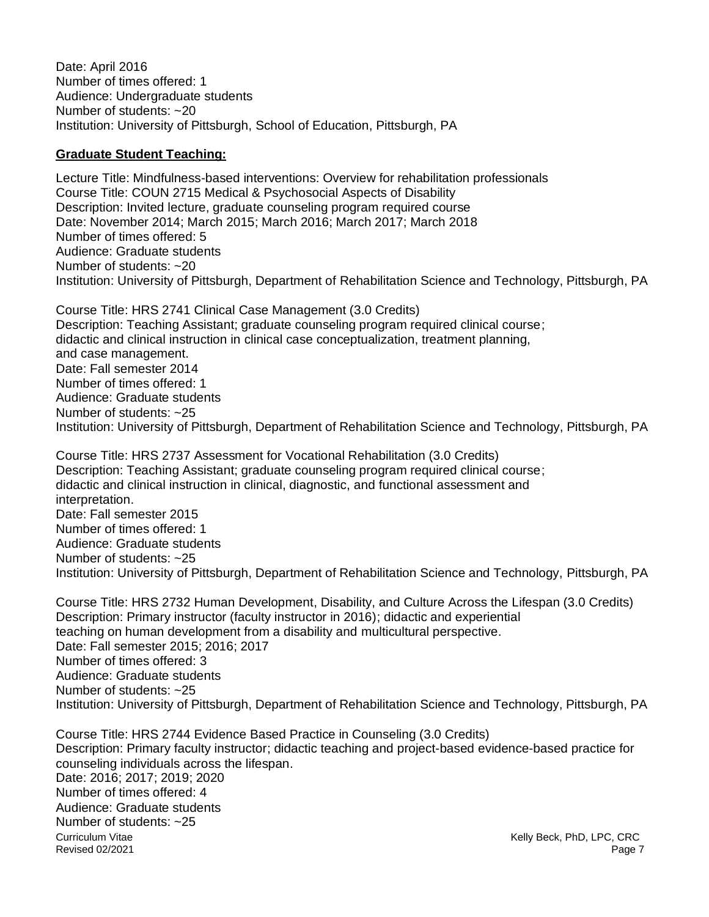Date: April 2016 Number of times offered: 1 Audience: Undergraduate students Number of students: ~20 Institution: University of Pittsburgh, School of Education, Pittsburgh, PA

#### **Graduate Student Teaching:**

Lecture Title: Mindfulness-based interventions: Overview for rehabilitation professionals Course Title: COUN 2715 Medical & Psychosocial Aspects of Disability Description: Invited lecture, graduate counseling program required course Date: November 2014; March 2015; March 2016; March 2017; March 2018 Number of times offered: 5 Audience: Graduate students Number of students: ~20 Institution: University of Pittsburgh, Department of Rehabilitation Science and Technology, Pittsburgh, PA

Course Title: HRS 2741 Clinical Case Management (3.0 Credits) Description: Teaching Assistant; graduate counseling program required clinical course; didactic and clinical instruction in clinical case conceptualization, treatment planning, and case management. Date: Fall semester 2014 Number of times offered: 1 Audience: Graduate students Number of students: ~25 Institution: University of Pittsburgh, Department of Rehabilitation Science and Technology, Pittsburgh, PA

Course Title: HRS 2737 Assessment for Vocational Rehabilitation (3.0 Credits) Description: Teaching Assistant; graduate counseling program required clinical course; didactic and clinical instruction in clinical, diagnostic, and functional assessment and interpretation. Date: Fall semester 2015 Number of times offered: 1 Audience: Graduate students Number of students: ~25 Institution: University of Pittsburgh, Department of Rehabilitation Science and Technology, Pittsburgh, PA

Course Title: HRS 2732 Human Development, Disability, and Culture Across the Lifespan (3.0 Credits) Description: Primary instructor (faculty instructor in 2016); didactic and experiential teaching on human development from a disability and multicultural perspective. Date: Fall semester 2015; 2016; 2017 Number of times offered: 3 Audience: Graduate students Number of students: ~25 Institution: University of Pittsburgh, Department of Rehabilitation Science and Technology, Pittsburgh, PA

Curriculum Vitae Revised 02/2021 Kelly Beck, PhD, LPC, CRC Page 7 Course Title: HRS 2744 Evidence Based Practice in Counseling (3.0 Credits) Description: Primary faculty instructor; didactic teaching and project-based evidence-based practice for counseling individuals across the lifespan. Date: 2016; 2017; 2019; 2020 Number of times offered: 4 Audience: Graduate students Number of students: ~25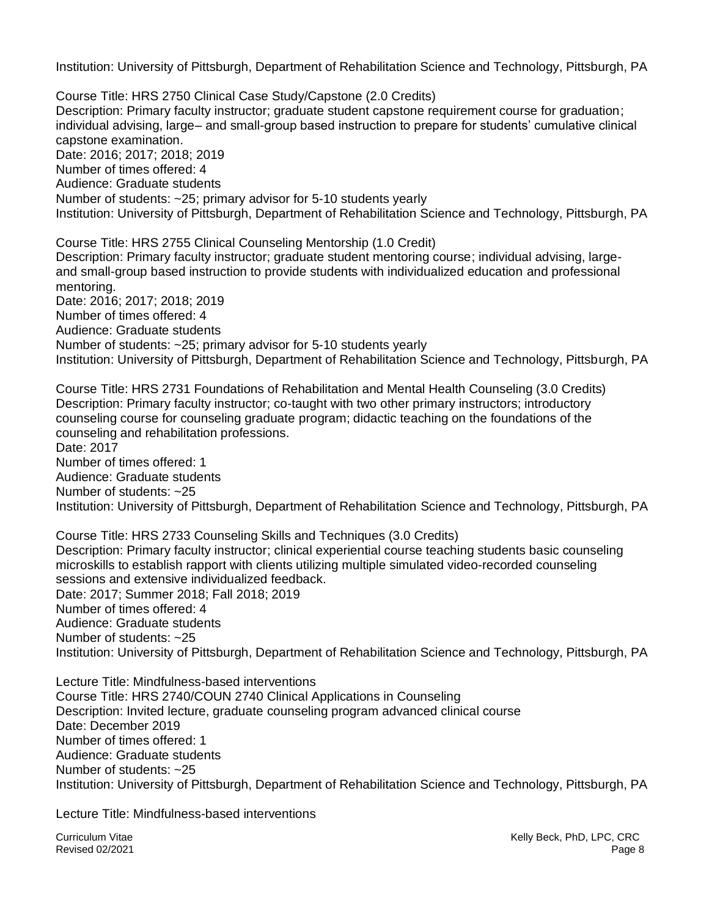Institution: University of Pittsburgh, Department of Rehabilitation Science and Technology, Pittsburgh, PA

Course Title: HRS 2750 Clinical Case Study/Capstone (2.0 Credits) Description: Primary faculty instructor; graduate student capstone requirement course for graduation; individual advising, large– and small-group based instruction to prepare for students' cumulative clinical capstone examination. Date: 2016; 2017; 2018; 2019 Number of times offered: 4 Audience: Graduate students Number of students: ~25; primary advisor for 5-10 students yearly Institution: University of Pittsburgh, Department of Rehabilitation Science and Technology, Pittsburgh, PA

Course Title: HRS 2755 Clinical Counseling Mentorship (1.0 Credit) Description: Primary faculty instructor; graduate student mentoring course; individual advising, largeand small-group based instruction to provide students with individualized education and professional mentoring. Date: 2016; 2017; 2018; 2019 Number of times offered: 4 Audience: Graduate students Number of students: ~25; primary advisor for 5-10 students yearly Institution: University of Pittsburgh, Department of Rehabilitation Science and Technology, Pittsburgh, PA

Course Title: HRS 2731 Foundations of Rehabilitation and Mental Health Counseling (3.0 Credits) Description: Primary faculty instructor; co-taught with two other primary instructors; introductory counseling course for counseling graduate program; didactic teaching on the foundations of the counseling and rehabilitation professions. Date: 2017 Number of times offered: 1 Audience: Graduate students Number of students: ~25 Institution: University of Pittsburgh, Department of Rehabilitation Science and Technology, Pittsburgh, PA

Course Title: HRS 2733 Counseling Skills and Techniques (3.0 Credits) Description: Primary faculty instructor; clinical experiential course teaching students basic counseling microskills to establish rapport with clients utilizing multiple simulated video-recorded counseling sessions and extensive individualized feedback. Date: 2017; Summer 2018; Fall 2018; 2019 Number of times offered: 4 Audience: Graduate students Number of students: ~25 Institution: University of Pittsburgh, Department of Rehabilitation Science and Technology, Pittsburgh, PA

Lecture Title: Mindfulness-based interventions Course Title: HRS 2740/COUN 2740 Clinical Applications in Counseling Description: Invited lecture, graduate counseling program advanced clinical course Date: December 2019 Number of times offered: 1 Audience: Graduate students Number of students: ~25 Institution: University of Pittsburgh, Department of Rehabilitation Science and Technology, Pittsburgh, PA

Lecture Title: Mindfulness-based interventions

Curriculum Vitae Revised 02/2021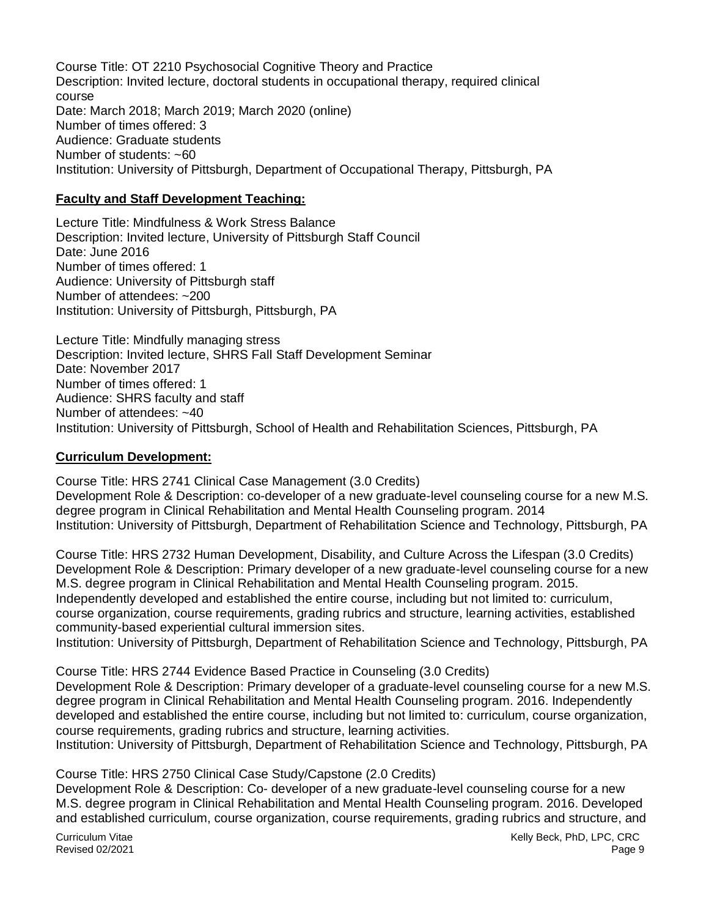Course Title: OT 2210 Psychosocial Cognitive Theory and Practice Description: Invited lecture, doctoral students in occupational therapy, required clinical course Date: March 2018; March 2019; March 2020 (online) Number of times offered: 3 Audience: Graduate students Number of students: ~60 Institution: University of Pittsburgh, Department of Occupational Therapy, Pittsburgh, PA

#### **Faculty and Staff Development Teaching:**

Lecture Title: Mindfulness & Work Stress Balance Description: Invited lecture, University of Pittsburgh Staff Council Date: June 2016 Number of times offered: 1 Audience: University of Pittsburgh staff Number of attendees: ~200 Institution: University of Pittsburgh, Pittsburgh, PA

Lecture Title: Mindfully managing stress Description: Invited lecture, SHRS Fall Staff Development Seminar Date: November 2017 Number of times offered: 1 Audience: SHRS faculty and staff Number of attendees: ~40 Institution: University of Pittsburgh, School of Health and Rehabilitation Sciences, Pittsburgh, PA

#### **Curriculum Development:**

Course Title: HRS 2741 Clinical Case Management (3.0 Credits)

Development Role & Description: co-developer of a new graduate-level counseling course for a new M.S. degree program in Clinical Rehabilitation and Mental Health Counseling program. 2014 Institution: University of Pittsburgh, Department of Rehabilitation Science and Technology, Pittsburgh, PA

Course Title: HRS 2732 Human Development, Disability, and Culture Across the Lifespan (3.0 Credits) Development Role & Description: Primary developer of a new graduate-level counseling course for a new M.S. degree program in Clinical Rehabilitation and Mental Health Counseling program. 2015. Independently developed and established the entire course, including but not limited to: curriculum, course organization, course requirements, grading rubrics and structure, learning activities, established community-based experiential cultural immersion sites.

Institution: University of Pittsburgh, Department of Rehabilitation Science and Technology, Pittsburgh, PA

Course Title: HRS 2744 Evidence Based Practice in Counseling (3.0 Credits) Development Role & Description: Primary developer of a graduate-level counseling course for a new M.S. degree program in Clinical Rehabilitation and Mental Health Counseling program. 2016. Independently developed and established the entire course, including but not limited to: curriculum, course organization, course requirements, grading rubrics and structure, learning activities.

Institution: University of Pittsburgh, Department of Rehabilitation Science and Technology, Pittsburgh, PA

## Course Title: HRS 2750 Clinical Case Study/Capstone (2.0 Credits)

Development Role & Description: Co- developer of a new graduate-level counseling course for a new M.S. degree program in Clinical Rehabilitation and Mental Health Counseling program. 2016. Developed and established curriculum, course organization, course requirements, grading rubrics and structure, and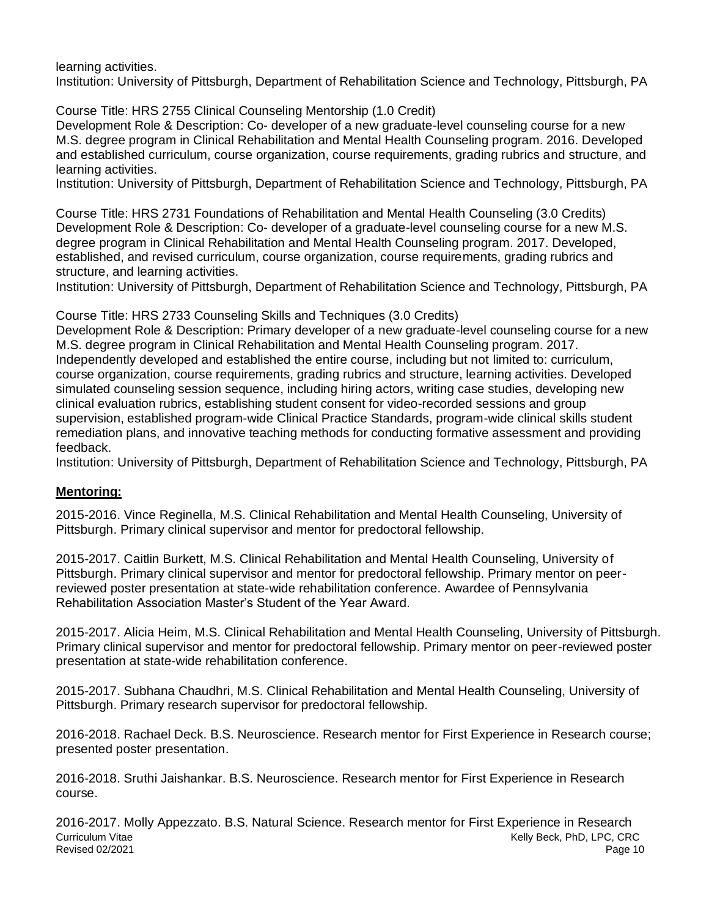learning activities.

Institution: University of Pittsburgh, Department of Rehabilitation Science and Technology, Pittsburgh, PA

Course Title: HRS 2755 Clinical Counseling Mentorship (1.0 Credit)

Development Role & Description: Co- developer of a new graduate-level counseling course for a new M.S. degree program in Clinical Rehabilitation and Mental Health Counseling program. 2016. Developed and established curriculum, course organization, course requirements, grading rubrics and structure, and learning activities.

Institution: University of Pittsburgh, Department of Rehabilitation Science and Technology, Pittsburgh, PA

Course Title: HRS 2731 Foundations of Rehabilitation and Mental Health Counseling (3.0 Credits) Development Role & Description: Co- developer of a graduate-level counseling course for a new M.S. degree program in Clinical Rehabilitation and Mental Health Counseling program. 2017. Developed, established, and revised curriculum, course organization, course requirements, grading rubrics and structure, and learning activities.

Institution: University of Pittsburgh, Department of Rehabilitation Science and Technology, Pittsburgh, PA

Course Title: HRS 2733 Counseling Skills and Techniques (3.0 Credits)

Development Role & Description: Primary developer of a new graduate-level counseling course for a new M.S. degree program in Clinical Rehabilitation and Mental Health Counseling program. 2017. Independently developed and established the entire course, including but not limited to: curriculum, course organization, course requirements, grading rubrics and structure, learning activities. Developed simulated counseling session sequence, including hiring actors, writing case studies, developing new clinical evaluation rubrics, establishing student consent for video-recorded sessions and group supervision, established program-wide Clinical Practice Standards, program-wide clinical skills student remediation plans, and innovative teaching methods for conducting formative assessment and providing feedback.

Institution: University of Pittsburgh, Department of Rehabilitation Science and Technology, Pittsburgh, PA

# **Mentoring:**

2015-2016. Vince Reginella, M.S. Clinical Rehabilitation and Mental Health Counseling, University of Pittsburgh. Primary clinical supervisor and mentor for predoctoral fellowship.

2015-2017. Caitlin Burkett, M.S. Clinical Rehabilitation and Mental Health Counseling, University of Pittsburgh. Primary clinical supervisor and mentor for predoctoral fellowship. Primary mentor on peerreviewed poster presentation at state-wide rehabilitation conference. Awardee of Pennsylvania Rehabilitation Association Master's Student of the Year Award.

2015-2017. Alicia Heim, M.S. Clinical Rehabilitation and Mental Health Counseling, University of Pittsburgh. Primary clinical supervisor and mentor for predoctoral fellowship. Primary mentor on peer-reviewed poster presentation at state-wide rehabilitation conference.

2015-2017. Subhana Chaudhri, M.S. Clinical Rehabilitation and Mental Health Counseling, University of Pittsburgh. Primary research supervisor for predoctoral fellowship.

2016-2018. Rachael Deck. B.S. Neuroscience. Research mentor for First Experience in Research course; presented poster presentation.

2016-2018. Sruthi Jaishankar. B.S. Neuroscience. Research mentor for First Experience in Research course.

Curriculum Vitae Revised 02/2021 Kelly Beck, PhD, LPC, CRC Page 10 2016-2017. Molly Appezzato. B.S. Natural Science. Research mentor for First Experience in Research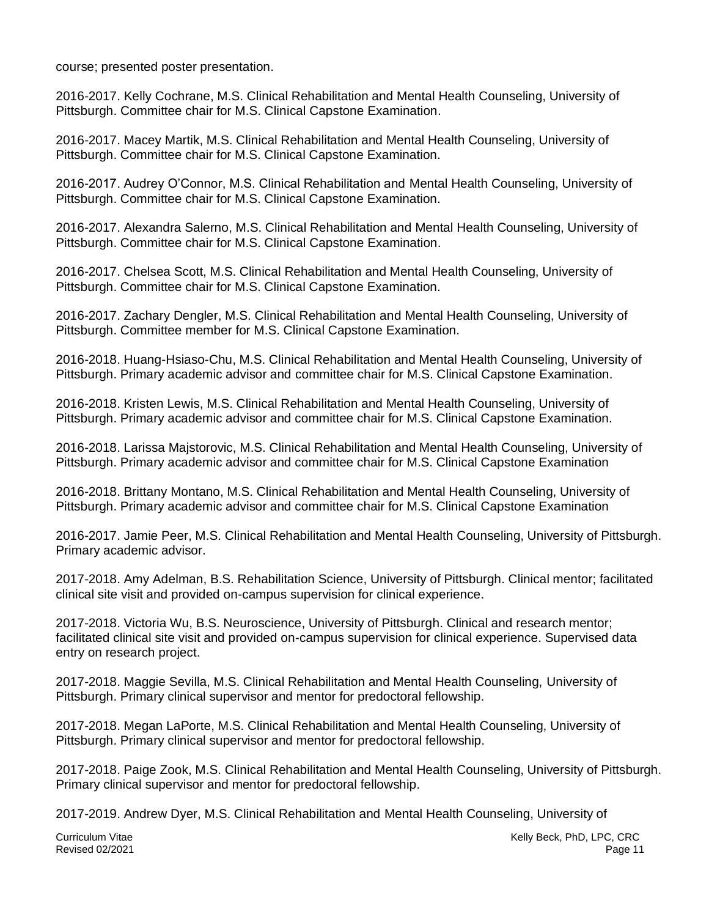course; presented poster presentation.

2016-2017. Kelly Cochrane, M.S. Clinical Rehabilitation and Mental Health Counseling, University of Pittsburgh. Committee chair for M.S. Clinical Capstone Examination.

2016-2017. Macey Martik, M.S. Clinical Rehabilitation and Mental Health Counseling, University of Pittsburgh. Committee chair for M.S. Clinical Capstone Examination.

2016-2017. Audrey O'Connor, M.S. Clinical Rehabilitation and Mental Health Counseling, University of Pittsburgh. Committee chair for M.S. Clinical Capstone Examination.

2016-2017. Alexandra Salerno, M.S. Clinical Rehabilitation and Mental Health Counseling, University of Pittsburgh. Committee chair for M.S. Clinical Capstone Examination.

2016-2017. Chelsea Scott, M.S. Clinical Rehabilitation and Mental Health Counseling, University of Pittsburgh. Committee chair for M.S. Clinical Capstone Examination.

2016-2017. Zachary Dengler, M.S. Clinical Rehabilitation and Mental Health Counseling, University of Pittsburgh. Committee member for M.S. Clinical Capstone Examination.

2016-2018. Huang-Hsiaso-Chu, M.S. Clinical Rehabilitation and Mental Health Counseling, University of Pittsburgh. Primary academic advisor and committee chair for M.S. Clinical Capstone Examination.

2016-2018. Kristen Lewis, M.S. Clinical Rehabilitation and Mental Health Counseling, University of Pittsburgh. Primary academic advisor and committee chair for M.S. Clinical Capstone Examination.

2016-2018. Larissa Majstorovic, M.S. Clinical Rehabilitation and Mental Health Counseling, University of Pittsburgh. Primary academic advisor and committee chair for M.S. Clinical Capstone Examination

2016-2018. Brittany Montano, M.S. Clinical Rehabilitation and Mental Health Counseling, University of Pittsburgh. Primary academic advisor and committee chair for M.S. Clinical Capstone Examination

2016-2017. Jamie Peer, M.S. Clinical Rehabilitation and Mental Health Counseling, University of Pittsburgh. Primary academic advisor.

2017-2018. Amy Adelman, B.S. Rehabilitation Science, University of Pittsburgh. Clinical mentor; facilitated clinical site visit and provided on-campus supervision for clinical experience.

2017-2018. Victoria Wu, B.S. Neuroscience, University of Pittsburgh. Clinical and research mentor; facilitated clinical site visit and provided on-campus supervision for clinical experience. Supervised data entry on research project.

2017-2018. Maggie Sevilla, M.S. Clinical Rehabilitation and Mental Health Counseling, University of Pittsburgh. Primary clinical supervisor and mentor for predoctoral fellowship.

2017-2018. Megan LaPorte, M.S. Clinical Rehabilitation and Mental Health Counseling, University of Pittsburgh. Primary clinical supervisor and mentor for predoctoral fellowship.

2017-2018. Paige Zook, M.S. Clinical Rehabilitation and Mental Health Counseling, University of Pittsburgh. Primary clinical supervisor and mentor for predoctoral fellowship.

2017-2019. Andrew Dyer, M.S. Clinical Rehabilitation and Mental Health Counseling, University of

Kelly Beck, PhD, LPC, CRC Page 11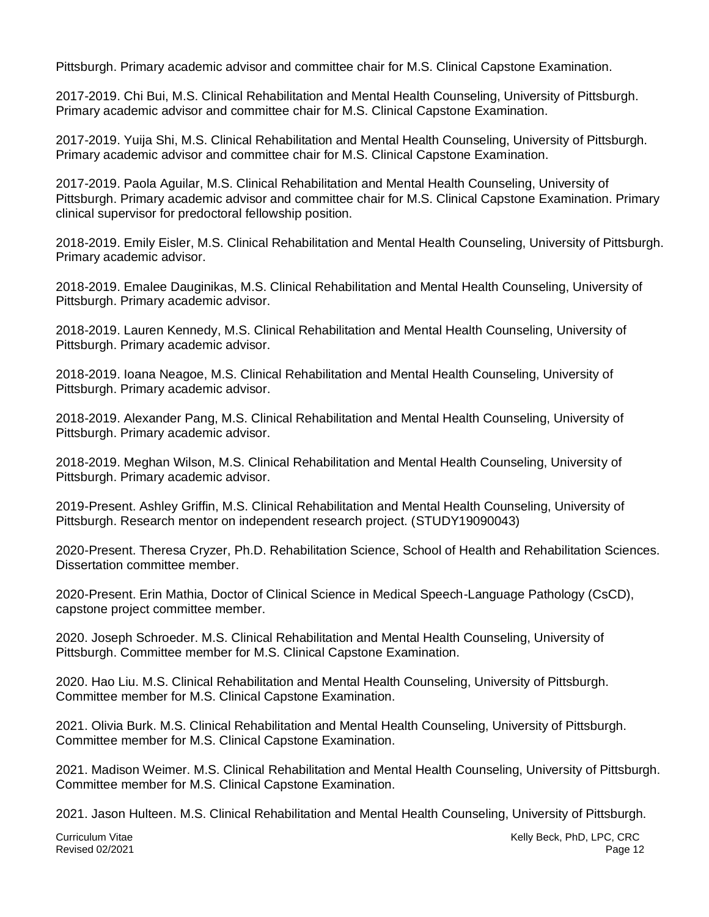Pittsburgh. Primary academic advisor and committee chair for M.S. Clinical Capstone Examination.

2017-2019. Chi Bui, M.S. Clinical Rehabilitation and Mental Health Counseling, University of Pittsburgh. Primary academic advisor and committee chair for M.S. Clinical Capstone Examination.

2017-2019. Yuija Shi, M.S. Clinical Rehabilitation and Mental Health Counseling, University of Pittsburgh. Primary academic advisor and committee chair for M.S. Clinical Capstone Examination.

2017-2019. Paola Aguilar, M.S. Clinical Rehabilitation and Mental Health Counseling, University of Pittsburgh. Primary academic advisor and committee chair for M.S. Clinical Capstone Examination. Primary clinical supervisor for predoctoral fellowship position.

2018-2019. Emily Eisler, M.S. Clinical Rehabilitation and Mental Health Counseling, University of Pittsburgh. Primary academic advisor.

2018-2019. Emalee Dauginikas, M.S. Clinical Rehabilitation and Mental Health Counseling, University of Pittsburgh. Primary academic advisor.

2018-2019. Lauren Kennedy, M.S. Clinical Rehabilitation and Mental Health Counseling, University of Pittsburgh. Primary academic advisor.

2018-2019. Ioana Neagoe, M.S. Clinical Rehabilitation and Mental Health Counseling, University of Pittsburgh. Primary academic advisor.

2018-2019. Alexander Pang, M.S. Clinical Rehabilitation and Mental Health Counseling, University of Pittsburgh. Primary academic advisor.

2018-2019. Meghan Wilson, M.S. Clinical Rehabilitation and Mental Health Counseling, University of Pittsburgh. Primary academic advisor.

2019-Present. Ashley Griffin, M.S. Clinical Rehabilitation and Mental Health Counseling, University of Pittsburgh. Research mentor on independent research project. (STUDY19090043)

2020-Present. Theresa Cryzer, Ph.D. Rehabilitation Science, School of Health and Rehabilitation Sciences. Dissertation committee member.

2020-Present. Erin Mathia, Doctor of Clinical Science in Medical Speech-Language Pathology (CsCD), capstone project committee member.

2020. Joseph Schroeder. M.S. Clinical Rehabilitation and Mental Health Counseling, University of Pittsburgh. Committee member for M.S. Clinical Capstone Examination.

2020. Hao Liu. M.S. Clinical Rehabilitation and Mental Health Counseling, University of Pittsburgh. Committee member for M.S. Clinical Capstone Examination.

2021. Olivia Burk. M.S. Clinical Rehabilitation and Mental Health Counseling, University of Pittsburgh. Committee member for M.S. Clinical Capstone Examination.

2021. Madison Weimer. M.S. Clinical Rehabilitation and Mental Health Counseling, University of Pittsburgh. Committee member for M.S. Clinical Capstone Examination.

2021. Jason Hulteen. M.S. Clinical Rehabilitation and Mental Health Counseling, University of Pittsburgh.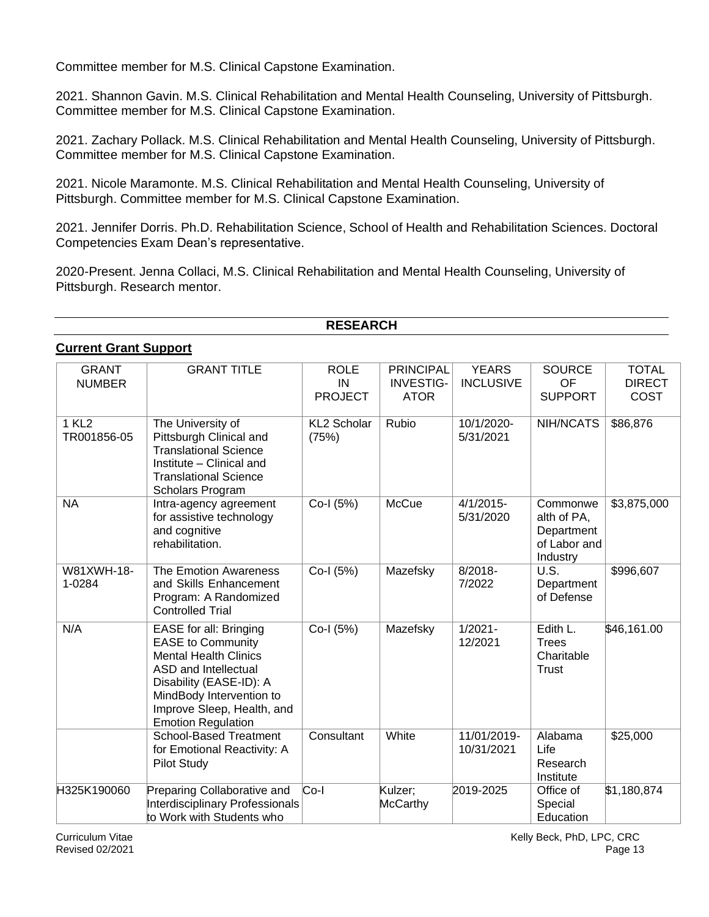Committee member for M.S. Clinical Capstone Examination.

2021. Shannon Gavin. M.S. Clinical Rehabilitation and Mental Health Counseling, University of Pittsburgh. Committee member for M.S. Clinical Capstone Examination.

2021. Zachary Pollack. M.S. Clinical Rehabilitation and Mental Health Counseling, University of Pittsburgh. Committee member for M.S. Clinical Capstone Examination.

2021. Nicole Maramonte. M.S. Clinical Rehabilitation and Mental Health Counseling, University of Pittsburgh. Committee member for M.S. Clinical Capstone Examination.

2021. Jennifer Dorris. Ph.D. Rehabilitation Science, School of Health and Rehabilitation Sciences. Doctoral Competencies Exam Dean's representative.

2020-Present. Jenna Collaci, M.S. Clinical Rehabilitation and Mental Health Counseling, University of Pittsburgh. Research mentor.

## **RESEARCH**

#### **Current Grant Support**

| <b>GRANT</b><br><b>NUMBER</b>    | <b>GRANT TITLE</b>                                                                                                                                                                                                           | <b>ROLE</b><br>IN<br><b>PROJECT</b> | <b>PRINCIPAL</b><br><b>INVESTIG-</b><br><b>ATOR</b> | <b>YEARS</b><br><b>INCLUSIVE</b> | <b>SOURCE</b><br>OF<br><b>SUPPORT</b>                             | <b>TOTAL</b><br><b>DIRECT</b><br>COST |
|----------------------------------|------------------------------------------------------------------------------------------------------------------------------------------------------------------------------------------------------------------------------|-------------------------------------|-----------------------------------------------------|----------------------------------|-------------------------------------------------------------------|---------------------------------------|
| 1 KL <sub>2</sub><br>TR001856-05 | The University of<br>Pittsburgh Clinical and<br><b>Translational Science</b><br>Institute - Clinical and<br><b>Translational Science</b><br>Scholars Program                                                                 | <b>KL2 Scholar</b><br>(75%)         | Rubio                                               | 10/1/2020-<br>5/31/2021          | NIH/NCATS                                                         | \$86,876                              |
| <b>NA</b>                        | Intra-agency agreement<br>for assistive technology<br>and cognitive<br>rehabilitation.                                                                                                                                       | Co-I (5%)                           | <b>McCue</b>                                        | $4/1/2015$ -<br>5/31/2020        | Commonwe<br>alth of PA,<br>Department<br>of Labor and<br>Industry | \$3,875,000                           |
| W81XWH-18-<br>1-0284             | The Emotion Awareness<br>and Skills Enhancement<br>Program: A Randomized<br><b>Controlled Trial</b>                                                                                                                          | Co-I (5%)                           | Mazefsky                                            | $8/2018 -$<br>7/2022             | U.S.<br>Department<br>of Defense                                  | \$996,607                             |
| N/A                              | EASE for all: Bringing<br><b>EASE to Community</b><br><b>Mental Health Clinics</b><br>ASD and Intellectual<br>Disability (EASE-ID): A<br>MindBody Intervention to<br>Improve Sleep, Health, and<br><b>Emotion Regulation</b> | Co-I (5%)                           | Mazefsky                                            | $1/2021 -$<br>12/2021            | Edith L.<br><b>Trees</b><br>Charitable<br><b>Trust</b>            | \$46,161.00                           |
|                                  | <b>School-Based Treatment</b><br>for Emotional Reactivity: A<br><b>Pilot Study</b>                                                                                                                                           | Consultant                          | White                                               | 11/01/2019-<br>10/31/2021        | Alabama<br>Life<br>Research<br>Institute                          | \$25,000                              |
| H325K190060                      | Preparing Collaborative and<br><b>Interdisciplinary Professionals</b><br>to Work with Students who                                                                                                                           | Co-l                                | Kulzer:<br><b>McCarthy</b>                          | 2019-2025                        | Office of<br>Special<br>Education                                 | \$1,180,874                           |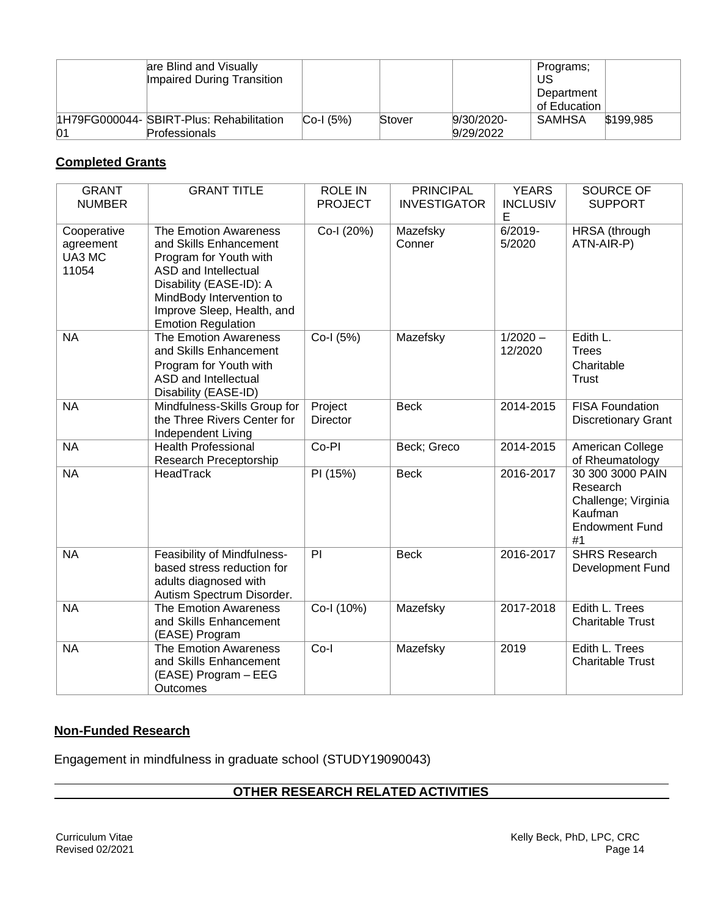|    | are Blind and Visually<br><b>Impaired During Transition</b>      |               |        |                         | Programs;<br>US<br>Department<br>of Education |           |
|----|------------------------------------------------------------------|---------------|--------|-------------------------|-----------------------------------------------|-----------|
| 01 | 1H79FG000044- SBIRT-Plus: Rehabilitation<br><b>Professionals</b> | $ Co-I (5%) $ | Stover | 9/30/2020-<br>9/29/2022 | SAMHSA                                        | \$199.985 |

# **Completed Grants**

| <b>GRANT</b><br><b>NUMBER</b>               | <b>GRANT TITLE</b>                                                                                                                                                                                                         | <b>ROLE IN</b><br><b>PROJECT</b> | <b>PRINCIPAL</b><br><b>INVESTIGATOR</b> | <b>YEARS</b><br><b>INCLUSIV</b><br>Е | <b>SOURCE OF</b><br><b>SUPPORT</b>                                                            |
|---------------------------------------------|----------------------------------------------------------------------------------------------------------------------------------------------------------------------------------------------------------------------------|----------------------------------|-----------------------------------------|--------------------------------------|-----------------------------------------------------------------------------------------------|
| Cooperative<br>agreement<br>UA3 MC<br>11054 | The Emotion Awareness<br>and Skills Enhancement<br>Program for Youth with<br><b>ASD and Intellectual</b><br>Disability (EASE-ID): A<br>MindBody Intervention to<br>Improve Sleep, Health, and<br><b>Emotion Regulation</b> | Co-I (20%)                       | Mazefsky<br>Conner                      | $6/2019 -$<br>5/2020                 | HRSA (through<br>ATN-AIR-P)                                                                   |
| <b>NA</b>                                   | The Emotion Awareness<br>and Skills Enhancement<br>Program for Youth with<br><b>ASD and Intellectual</b><br>Disability (EASE-ID)                                                                                           | Co-I (5%)                        | Mazefsky                                | $1/2020 -$<br>12/2020                | Edith L.<br><b>Trees</b><br>Charitable<br><b>Trust</b>                                        |
| <b>NA</b>                                   | Mindfulness-Skills Group for<br>the Three Rivers Center for<br>Independent Living                                                                                                                                          | Project<br>Director              | <b>Beck</b>                             | 2014-2015                            | <b>FISA Foundation</b><br><b>Discretionary Grant</b>                                          |
| <b>NA</b>                                   | <b>Health Professional</b><br>Research Preceptorship                                                                                                                                                                       | Co-PI                            | Beck; Greco                             | 2014-2015                            | American College<br>of Rheumatology                                                           |
| <b>NA</b>                                   | HeadTrack                                                                                                                                                                                                                  | PI (15%)                         | <b>Beck</b>                             | 2016-2017                            | 30 300 3000 PAIN<br>Research<br>Challenge; Virginia<br>Kaufman<br><b>Endowment Fund</b><br>#1 |
| <b>NA</b>                                   | Feasibility of Mindfulness-<br>based stress reduction for<br>adults diagnosed with<br>Autism Spectrum Disorder.                                                                                                            | PI                               | <b>Beck</b>                             | 2016-2017                            | <b>SHRS Research</b><br>Development Fund                                                      |
| <b>NA</b>                                   | The Emotion Awareness<br>and Skills Enhancement<br>(EASE) Program                                                                                                                                                          | Co-I (10%)                       | Mazefsky                                | 2017-2018                            | Edith L. Trees<br><b>Charitable Trust</b>                                                     |
| <b>NA</b>                                   | The Emotion Awareness<br>and Skills Enhancement<br>(EASE) Program - EEG<br>Outcomes                                                                                                                                        | $Co-I$                           | Mazefsky                                | 2019                                 | Edith L. Trees<br><b>Charitable Trust</b>                                                     |

# **Non-Funded Research**

Engagement in mindfulness in graduate school (STUDY19090043)

# **OTHER RESEARCH RELATED ACTIVITIES**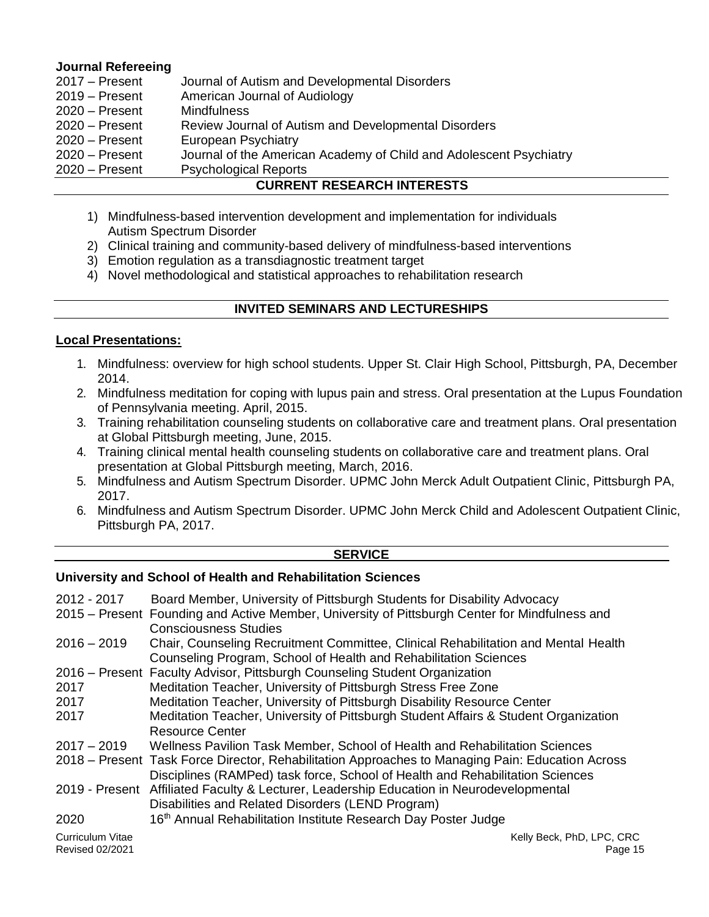## **Journal Refereeing**

|                  | AUBBENT BEAFIBAU INTEBEATA                                         |  |
|------------------|--------------------------------------------------------------------|--|
| $2020 -$ Present | <b>Psychological Reports</b>                                       |  |
| $2020 -$ Present | Journal of the American Academy of Child and Adolescent Psychiatry |  |
| $2020 -$ Present | European Psychiatry                                                |  |
| $2020 -$ Present | Review Journal of Autism and Developmental Disorders               |  |
| $2020 -$ Present | <b>Mindfulness</b>                                                 |  |
| $2019 -$ Present | American Journal of Audiology                                      |  |
| $2017 -$ Present | Journal of Autism and Developmental Disorders                      |  |

## **CURRENT RESEARCH INTERESTS**

- 1) Mindfulness-based intervention development and implementation for individuals Autism Spectrum Disorder
- 2) Clinical training and community-based delivery of mindfulness-based interventions
- 3) Emotion regulation as a transdiagnostic treatment target
- 4) Novel methodological and statistical approaches to rehabilitation research

## **INVITED SEMINARS AND LECTURESHIPS**

## **Local Presentations:**

- 1. Mindfulness: overview for high school students. Upper St. Clair High School, Pittsburgh, PA, December 2014.
- 2. Mindfulness meditation for coping with lupus pain and stress. Oral presentation at the Lupus Foundation of Pennsylvania meeting. April, 2015.
- 3. Training rehabilitation counseling students on collaborative care and treatment plans. Oral presentation at Global Pittsburgh meeting, June, 2015.
- 4. Training clinical mental health counseling students on collaborative care and treatment plans. Oral presentation at Global Pittsburgh meeting, March, 2016.
- 5. Mindfulness and Autism Spectrum Disorder. UPMC John Merck Adult Outpatient Clinic, Pittsburgh PA, 2017.
- 6. Mindfulness and Autism Spectrum Disorder. UPMC John Merck Child and Adolescent Outpatient Clinic, Pittsburgh PA, 2017.

#### **SERVICE**

## **University and School of Health and Rehabilitation Sciences**

| 2012 - 2017             | Board Member, University of Pittsburgh Students for Disability Advocacy                          |
|-------------------------|--------------------------------------------------------------------------------------------------|
|                         | 2015 – Present Founding and Active Member, University of Pittsburgh Center for Mindfulness and   |
|                         | <b>Consciousness Studies</b>                                                                     |
| $2016 - 2019$           | Chair, Counseling Recruitment Committee, Clinical Rehabilitation and Mental Health               |
|                         | Counseling Program, School of Health and Rehabilitation Sciences                                 |
|                         | 2016 – Present Faculty Advisor, Pittsburgh Counseling Student Organization                       |
| 2017                    | Meditation Teacher, University of Pittsburgh Stress Free Zone                                    |
| 2017                    | Meditation Teacher, University of Pittsburgh Disability Resource Center                          |
| 2017                    | Meditation Teacher, University of Pittsburgh Student Affairs & Student Organization              |
|                         | <b>Resource Center</b>                                                                           |
| $2017 - 2019$           | Wellness Pavilion Task Member, School of Health and Rehabilitation Sciences                      |
|                         | 2018 – Present Task Force Director, Rehabilitation Approaches to Managing Pain: Education Across |
|                         | Disciplines (RAMPed) task force, School of Health and Rehabilitation Sciences                    |
|                         | 2019 - Present Affiliated Faculty & Lecturer, Leadership Education in Neurodevelopmental         |
|                         | Disabilities and Related Disorders (LEND Program)                                                |
| 2020                    | 16th Annual Rehabilitation Institute Research Day Poster Judge                                   |
| <b>Curriculum Vitae</b> | Kelly Beck, PhD, LPC, CRC                                                                        |
| <b>Revised 02/2021</b>  | Page 15                                                                                          |